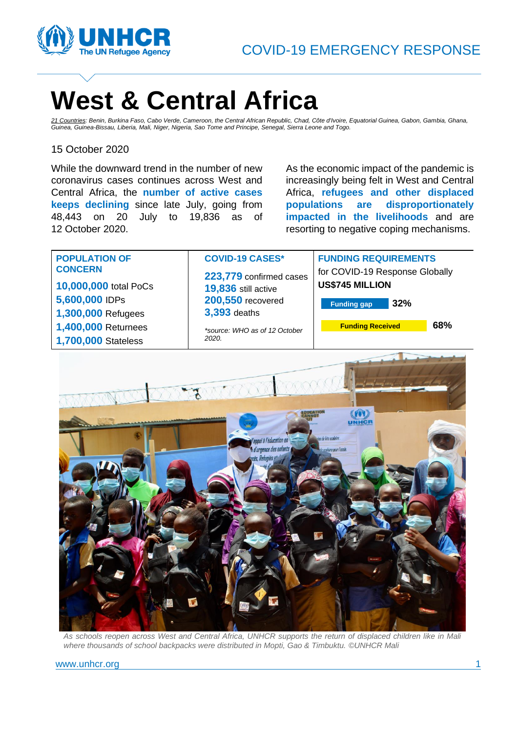

# **West & Central Africa**

*21 Countries: Benin, Burkina Faso, Cabo Verde, Cameroon, the Central African Republic, Chad, Côte d'Ivoire, Equatorial Guinea, Gabon, Gambia, Ghana, Guinea, Guinea-Bissau, Liberia, Mali, Niger, Nigeria, Sao Tome and Principe, Senegal, Sierra Leone and Togo.*

#### 15 October 2020

While the downward trend in the number of new coronavirus cases continues across West and Central Africa, the **number of active cases keeps declining** since late July, going from 48,443 on 20 July to 19,836 as of 12 October 2020.

As the economic impact of the pandemic is increasingly being felt in West and Central Africa, **refugees and other displaced populations are disproportionately impacted in the livelihoods** and are resorting to negative coping mechanisms.



*As schools reopen across West and Central Africa, UNHCR supports the return of displaced children like in Mali where thousands of school backpacks were distributed in Mopti, Gao & Timbuktu. ©UNHCR Mali*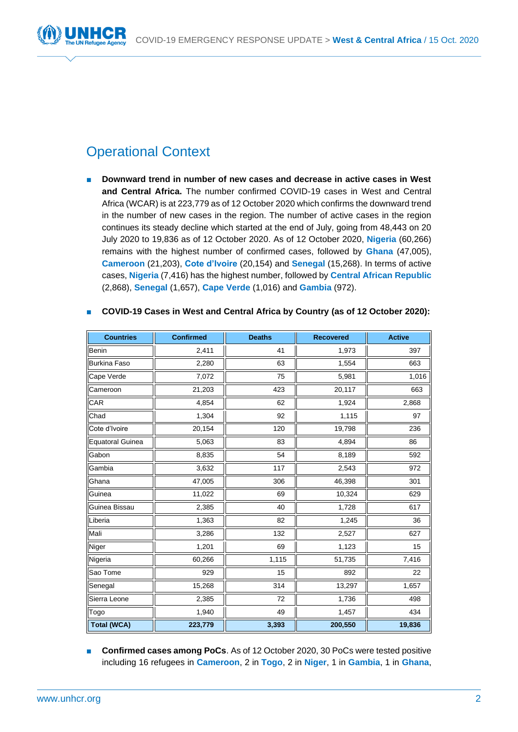

# Operational Context

**Downward trend in number of new cases and decrease in active cases in West and Central Africa.** The number confirmed COVID-19 cases in West and Central Africa (WCAR) is at 223,779 as of 12 October 2020 which confirms the downward trend in the number of new cases in the region. The number of active cases in the region continues its steady decline which started at the end of July, going from 48,443 on 20 July 2020 to 19,836 as of 12 October 2020. As of 12 October 2020, **Nigeria** (60,266) remains with the highest number of confirmed cases, followed by **Ghana** (47,005), **Cameroon** (21,203), **Cote d'Ivoire** (20,154) and **Senegal** (15,268). In terms of active cases, **Nigeria** (7,416) has the highest number, followed by **Central African Republic** (2,868), **Senegal** (1,657), **Cape Verde** (1,016) and **Gambia** (972).

| <b>Countries</b>        | <b>Confirmed</b> | <b>Deaths</b> | <b>Recovered</b> | <b>Active</b> |
|-------------------------|------------------|---------------|------------------|---------------|
| Benin                   | 2,411            | 41            | 1,973            | 397           |
| <b>Burkina Faso</b>     | 2,280            | 63            | 1,554            | 663           |
| Cape Verde              | 7,072            | 75            | 5,981            | 1,016         |
| Cameroon                | 21,203           | 423           | 20,117           | 663           |
| CAR                     | 4,854            | 62            | 1,924            | 2,868         |
| Chad                    | 1,304            | 92            | 1,115            | 97            |
| Cote d'Ivoire           | 20,154           | 120           | 19,798           | 236           |
| <b>Equatoral Guinea</b> | 5,063            | 83            | 4,894            | 86            |
| Gabon                   | 8,835            | 54            | 8,189            | 592           |
| Gambia                  | 3,632            | 117           | 2,543            | 972           |
| Ghana                   | 47,005           | 306           | 46,398           | 301           |
| Guinea                  | 11,022           | 69            | 10,324           | 629           |
| Guinea Bissau           | 2,385            | 40            | 1,728            | 617           |
| Liberia                 | 1,363            | 82            | 1,245            | 36            |
| Mali                    | 3,286            | 132           | 2,527            | 627           |
| Niger                   | 1,201            | 69            | 1,123            | 15            |
| Nigeria                 | 60,266           | 1,115         | 51,735           | 7,416         |
| Sao Tome                | 929              | 15            | 892              | 22            |
| Senegal                 | 15,268           | 314           | 13,297           | 1,657         |
| Sierra Leone            | 2,385            | 72            | 1,736            | 498           |
| Togo                    | 1,940            | 49            | 1,457            | 434           |
| <b>Total (WCA)</b>      | 223,779          | 3,393         | 200,550          | 19,836        |

#### ■ **COVID-19 Cases in West and Central Africa by Country (as of 12 October 2020):**

■ **Confirmed cases among PoCs**. As of 12 October 2020, 30 PoCs were tested positive including 16 refugees in **Cameroon**, 2 in **Togo**, 2 in **Niger**, 1 in **Gambia**, 1 in **Ghana**,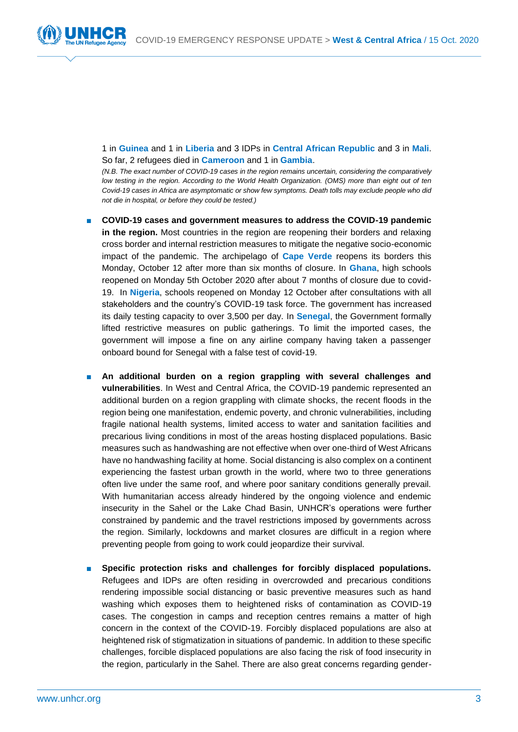

1 in **Guinea** and 1 in **Liberia** and 3 IDPs in **Central African Republic** and 3 in **Mali**. So far, 2 refugees died in **Cameroon** and 1 in **Gambia**.

*(N.B. The exact number of COVID-19 cases in the region remains uncertain, considering the comparatively low testing in the region. According to the World Health Organization. (OMS) more than eight out of ten Covid-19 cases in Africa are asymptomatic or show few symptoms. Death tolls may exclude people who did not die in hospital, or before they could be tested.)*

- **COVID-19 cases and government measures to address the COVID-19 pandemic in the region.** Most countries in the region are reopening their borders and relaxing cross border and internal restriction measures to mitigate the negative socio-economic impact of the pandemic. The archipelago of **Cape Verde** reopens its borders this Monday, October 12 after more than six months of closure. In **Ghana**, high schools reopened on Monday 5th October 2020 after about 7 months of closure due to covid-19. In **Nigeria**, schools reopened on Monday 12 October after consultations with all stakeholders and the country's COVID-19 task force. The government has increased its daily testing capacity to over 3,500 per day. In **Senegal**, the Government formally lifted restrictive measures on public gatherings. To limit the imported cases, the government will impose a fine on any airline company having taken a passenger onboard bound for Senegal with a false test of covid-19.
- **An additional burden on a region grappling with several challenges and vulnerabilities**. In West and Central Africa, the COVID-19 pandemic represented an additional burden on a region grappling with climate shocks, the recent floods in the region being one manifestation, endemic poverty, and chronic vulnerabilities, including fragile national health systems, limited access to water and sanitation facilities and precarious living conditions in most of the areas hosting displaced populations. Basic measures such as handwashing are not effective when over one-third of West Africans have no handwashing facility at home. Social distancing is also complex on a continent experiencing the fastest urban growth in the world, where two to three generations often live under the same roof, and where poor sanitary conditions generally prevail. With humanitarian access already hindered by the ongoing violence and endemic insecurity in the Sahel or the Lake Chad Basin, UNHCR's operations were further constrained by pandemic and the travel restrictions imposed by governments across the region. Similarly, lockdowns and market closures are difficult in a region where preventing people from going to work could jeopardize their survival.
- Specific protection risks and challenges for forcibly displaced populations. Refugees and IDPs are often residing in overcrowded and precarious conditions rendering impossible social distancing or basic preventive measures such as hand washing which exposes them to heightened risks of contamination as COVID-19 cases. The congestion in camps and reception centres remains a matter of high concern in the context of the COVID-19. Forcibly displaced populations are also at heightened risk of stigmatization in situations of pandemic. In addition to these specific challenges, forcible displaced populations are also facing the risk of food insecurity in the region, particularly in the Sahel. There are also great concerns regarding gender-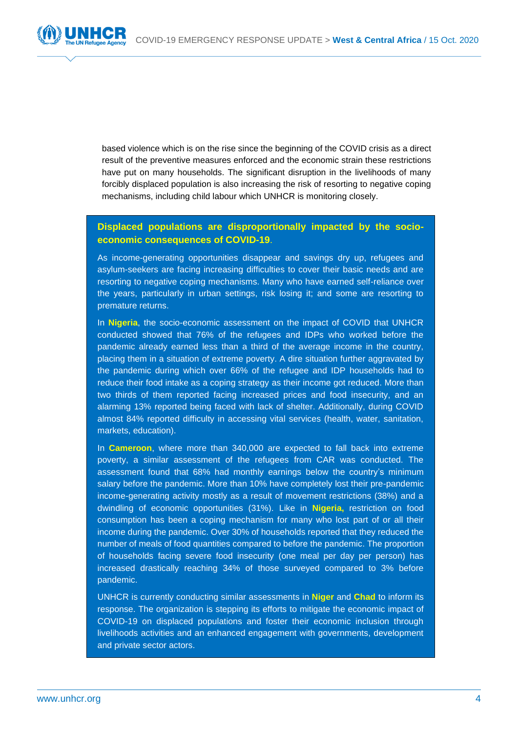

based violence which is on the rise since the beginning of the COVID crisis as a direct result of the preventive measures enforced and the economic strain these restrictions have put on many households. The significant disruption in the livelihoods of many forcibly displaced population is also increasing the risk of resorting to negative coping mechanisms, including child labour which UNHCR is monitoring closely.

#### **Displaced populations are disproportionally impacted by the socioeconomic consequences of COVID-19**.

As income-generating opportunities disappear and savings dry up, refugees and asylum-seekers are facing increasing difficulties to cover their basic needs and are resorting to negative coping mechanisms. Many who have earned self-reliance over the years, particularly in urban settings, risk losing it; and some are resorting to premature returns.

In Nigeria, the socio-economic assessment on the impact of COVID that UNHCR conducted showed that 76% of the refugees and IDPs who worked before the pandemic already earned less than a third of the average income in the country, placing them in a situation of extreme poverty. A dire situation further aggravated by the pandemic during which over 66% of the refugee and IDP households had to reduce their food intake as a coping strategy as their income got reduced. More than two thirds of them reported facing increased prices and food insecurity, and an alarming 13% reported being faced with lack of shelter. Additionally, during COVID almost 84% reported difficulty in accessing vital services (health, water, sanitation, markets, education).

In **Cameroon**, where more than 340,000 are expected to fall back into extreme poverty, a similar assessment of the refugees from CAR was conducted. The assessment found that 68% had monthly earnings below the country's minimum salary before the pandemic. More than 10% have completely lost their pre-pandemic income-generating activity mostly as a result of movement restrictions (38%) and a dwindling of economic opportunities (31%). Like in **Nigeria,** restriction on food consumption has been a coping mechanism for many who lost part of or all their income during the pandemic. Over 30% of households reported that they reduced the number of meals of food quantities compared to before the pandemic. The proportion of households facing severe food insecurity (one meal per day per person) has increased drastically reaching 34% of those surveyed compared to 3% before pandemic.

UNHCR is currently conducting similar assessments in **Niger** and **Chad** to inform its response. The organization is stepping its efforts to mitigate the economic impact of COVID-19 on displaced populations and foster their economic inclusion through livelihoods activities and an enhanced engagement with governments, development and private sector actors.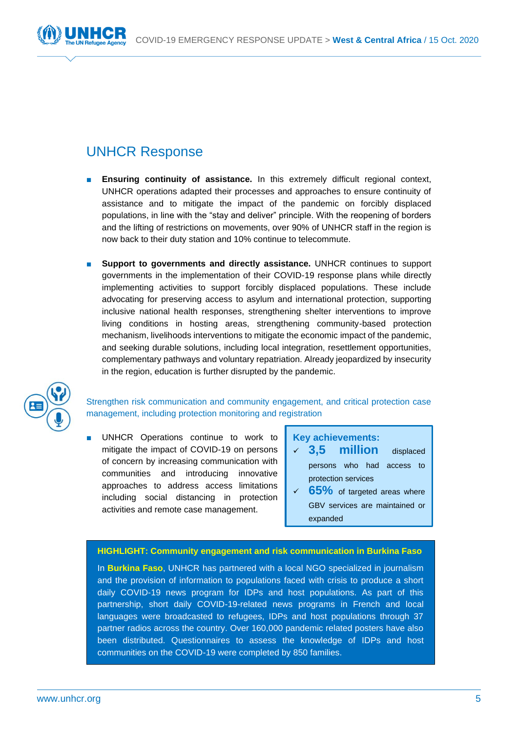

# UNHCR Response

- **Ensuring continuity of assistance.** In this extremely difficult regional context, UNHCR operations adapted their processes and approaches to ensure continuity of assistance and to mitigate the impact of the pandemic on forcibly displaced populations, in line with the "stay and deliver" principle. With the reopening of borders and the lifting of restrictions on movements, over 90% of UNHCR staff in the region is now back to their duty station and 10% continue to telecommute.
- **Support to governments and directly assistance.** UNHCR continues to support governments in the implementation of their COVID-19 response plans while directly implementing activities to support forcibly displaced populations. These include advocating for preserving access to asylum and international protection, supporting inclusive national health responses, strengthening shelter interventions to improve living conditions in hosting areas, strengthening community-based protection mechanism, livelihoods interventions to mitigate the economic impact of the pandemic, and seeking durable solutions, including local integration, resettlement opportunities, complementary pathways and voluntary repatriation. Already jeopardized by insecurity in the region, education is further disrupted by the pandemic.



Strengthen risk communication and community engagement, and critical protection case management, including protection monitoring and registration

UNHCR Operations continue to work to mitigate the impact of COVID-19 on persons of concern by increasing communication with communities and introducing innovative approaches to address access limitations including social distancing in protection activities and remote case management.

#### **Key achievements:**

- ✓ **3,5 million** displaced persons who had access to protection services
- $\sqrt{65\%}$  of targeted areas where GBV services are maintained or expanded

#### **HIGHLIGHT: Community engagement and risk communication in Burkina Faso**

In **Burkina Faso**, UNHCR has partnered with a local NGO specialized in journalism and the provision of information to populations faced with crisis to produce a short daily COVID-19 news program for IDPs and host populations. As part of this partnership, short daily COVID-19-related news programs in French and local languages were broadcasted to refugees, IDPs and host populations through 37 partner radios across the country. Over 160,000 pandemic related posters have also been distributed. Questionnaires to assess the knowledge of IDPs and host communities on the COVID-19 were completed by 850 families.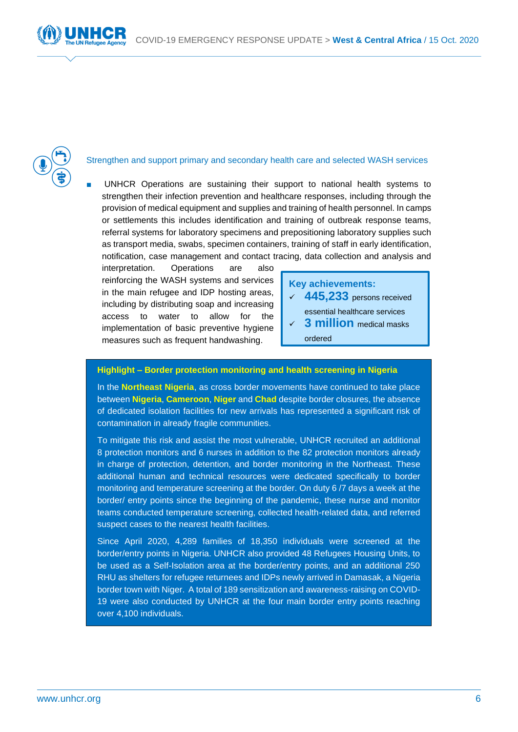



#### Strengthen and support primary and secondary health care and selected WASH services

UNHCR Operations are sustaining their support to national health systems to strengthen their infection prevention and healthcare responses, including through the provision of medical equipment and supplies and training of health personnel. In camps or settlements this includes identification and training of outbreak response teams, referral systems for laboratory specimens and prepositioning laboratory supplies such as transport media, swabs, specimen containers, training of staff in early identification, notification, case management and contact tracing, data collection and analysis and

interpretation. Operations are also reinforcing the WASH systems and services in the main refugee and IDP hosting areas, including by distributing soap and increasing access to water to allow for the implementation of basic preventive hygiene measures such as frequent handwashing.

### **Key achievements:**  ✓ **445,233** persons received essential healthcare services **3 million** medical masks

ordered

#### **Highlight – Border protection monitoring and health screening in Nigeria**

In the **Northeast Nigeria**, as cross border movements have continued to take place between **Nigeria**, **Cameroon**, **Niger** and **Chad** despite border closures, the absence of dedicated isolation facilities for new arrivals has represented a significant risk of contamination in already fragile communities.

To mitigate this risk and assist the most vulnerable, UNHCR recruited an additional 8 protection monitors and 6 nurses in addition to the 82 protection monitors already in charge of protection, detention, and border monitoring in the Northeast. These additional human and technical resources were dedicated specifically to border monitoring and temperature screening at the border. On duty 6 /7 days a week at the border/ entry points since the beginning of the pandemic, these nurse and monitor teams conducted temperature screening, collected health-related data, and referred suspect cases to the nearest health facilities.

Since April 2020, 4,289 families of 18,350 individuals were screened at the border/entry points in Nigeria. UNHCR also provided 48 Refugees Housing Units, to be used as a Self-Isolation area at the border/entry points, and an additional 250 RHU as shelters for refugee returnees and IDPs newly arrived in Damasak, a Nigeria border town with Niger. A total of 189 sensitization and awareness-raising on COVID-19 were also conducted by UNHCR at the four main border entry points reaching over 4,100 individuals.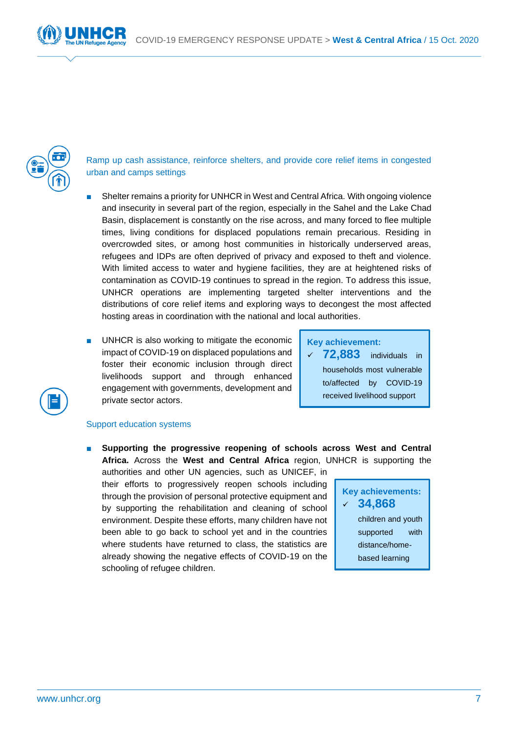

Ramp up cash assistance, reinforce shelters, and provide core relief items in congested urban and camps settings

- Shelter remains a priority for UNHCR in West and Central Africa. With ongoing violence and insecurity in several part of the region, especially in the Sahel and the Lake Chad Basin, displacement is constantly on the rise across, and many forced to flee multiple times, living conditions for displaced populations remain precarious. Residing in overcrowded sites, or among host communities in historically underserved areas, refugees and IDPs are often deprived of privacy and exposed to theft and violence. With limited access to water and hygiene facilities, they are at heightened risks of contamination as COVID-19 continues to spread in the region. To address this issue, UNHCR operations are implementing targeted shelter interventions and the distributions of core relief items and exploring ways to decongest the most affected hosting areas in coordination with the national and local authorities.
- UNHCR is also working to mitigate the economic impact of COVID-19 on displaced populations and foster their economic inclusion through direct livelihoods support and through enhanced engagement with governments, development and private sector actors.

| <b>Key achievement:</b> |                                |  |  |  |  |  |
|-------------------------|--------------------------------|--|--|--|--|--|
|                         | $\sqrt{72,883}$ individuals in |  |  |  |  |  |
|                         | households most vulnerable     |  |  |  |  |  |
|                         | to/affected by COVID-19        |  |  |  |  |  |
|                         | received livelihood support    |  |  |  |  |  |



#### Support education systems

Supporting the progressive reopening of schools across West and Central **Africa.** Across the **West and Central Africa** region, UNHCR is supporting the

authorities and other UN agencies, such as UNICEF, in their efforts to progressively reopen schools including through the provision of personal protective equipment and by supporting the rehabilitation and cleaning of school environment. Despite these efforts, many children have not been able to go back to school yet and in the countries where students have returned to class, the statistics are already showing the negative effects of COVID-19 on the schooling of refugee children.

## **Key achievements:**  ✓ **34,868** children and youth supported with distance/homebased learning